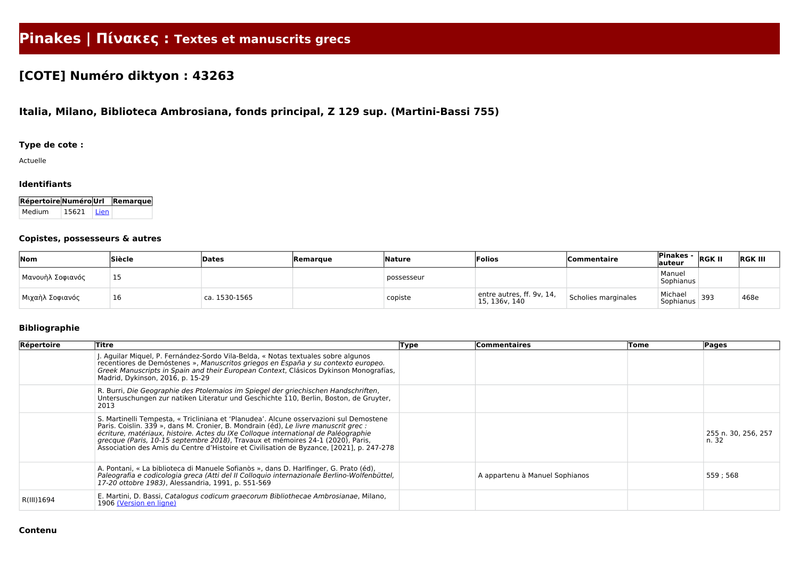# **Pinakes | Πίνακες : Textes et manuscrits grecs**

# **[COTE] Numéro diktyon : 43263**

# **Italia, Milano, Biblioteca Ambrosiana, fonds principal, Z 129 sup. (Martini-Bassi 755)**

## **Type de cote :**

Actuelle

#### **Identifiants**

| Répertoire Numéro Url Remarque |       |        |  |
|--------------------------------|-------|--------|--|
| Medium                         | 15621 | l Lien |  |

#### **Copistes, possesseurs & autres**

| Nom              | <b>Siècle</b> | Dates                  | Remarque | <b>Nature</b> | Folios                                        | <b>Commentaire</b>  | <b>Pinakes -</b><br>lauteur | <b>RGK II</b> | <b>RGK III</b> |
|------------------|---------------|------------------------|----------|---------------|-----------------------------------------------|---------------------|-----------------------------|---------------|----------------|
| Μανουὴλ Σοφιανός | --            |                        |          | possesseur    |                                               |                     | Manuel<br>Sophianus         |               |                |
| Μιχαὴλ Σοφιανός  | 16            | $^\circ$ ca. 1530-1565 |          | copiste       | entre autres, ff. $9v$ , 14,<br>15, 136v, 140 | Scholies marginales | Michael<br>Sophianus        | 393           | 468e           |

## **Bibliographie**

| Répertoire | Titre                                                                                                                                                                                                                                                                                                                                                                                                                                             | Type | Commentaires                   | Tome | <b>Pages</b>                 |
|------------|---------------------------------------------------------------------------------------------------------------------------------------------------------------------------------------------------------------------------------------------------------------------------------------------------------------------------------------------------------------------------------------------------------------------------------------------------|------|--------------------------------|------|------------------------------|
|            | J. Aguilar Miquel, P. Fernández-Sordo Vila-Belda, « Notas textuales sobre algunos<br>recentiores de Demóstenes », Manuscritos griegos en España y su contexto europeo.<br>Greek Manuscripts in Spain and their European Context, Clásicos Dykinson Monografías,<br>Madrid, Dykinson, 2016, p. 15-29                                                                                                                                               |      |                                |      |                              |
|            | R. Burri, Die Geographie des Ptolemaios im Spiegel der griechischen Handschriften,<br>Untersuschungen zur natiken Literatur und Geschichte 110, Berlin, Boston, de Gruyter,<br>2013                                                                                                                                                                                                                                                               |      |                                |      |                              |
|            | S. Martinelli Tempesta, « Tricliniana et 'Planudea'. Alcune osservazioni sul Demostene<br>Paris. Coislin. 339 », dans M. Cronier, B. Mondrain (éd), Le livre manuscrit grec :<br>écriture, matériaux, histoire. Actes du IXe Colloque international de Paléographie<br>grecque (Paris, 10-15 septembre 2018), Travaux et mémoires 24-1 (2020), Paris,<br>Association des Amis du Centre d'Histoire et Civilisation de Byzance, [2021], p. 247-278 |      |                                |      | 255 n. 30, 256, 257<br>n. 32 |
|            | A. Pontani, « La biblioteca di Manuele Sofianòs », dans D. Harlfinger, G. Prato (éd),<br>Paleografia e codicologia greca (Atti del II Colloquio internazionale Berlino-Wolfenbüttel,<br>17-20 ottobre 1983), Alessandria, 1991, p. 551-569                                                                                                                                                                                                        |      | A appartenu à Manuel Sophianos |      | 559;568                      |
| R(III)1694 | E. Martini, D. Bassi, Catalogus codicum graecorum Bibliothecae Ambrosianae, Milano,<br>1906 (Version en ligne)                                                                                                                                                                                                                                                                                                                                    |      |                                |      |                              |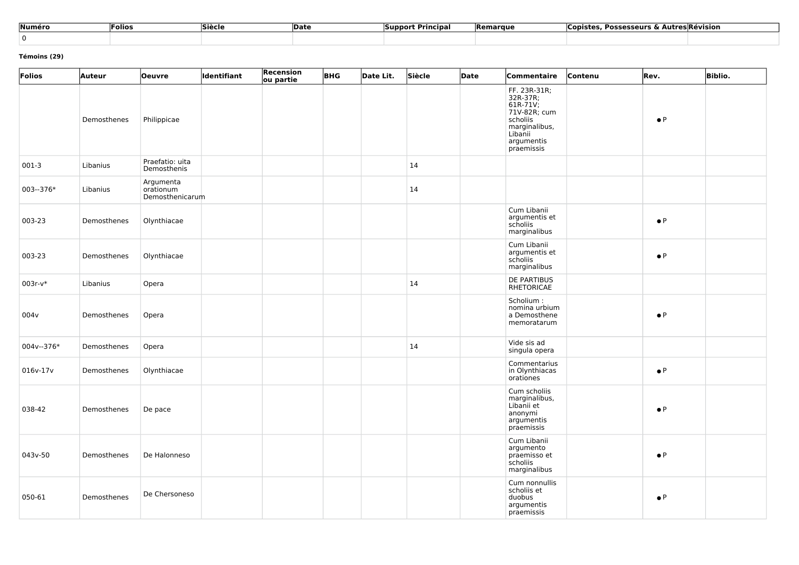| Numéro | Folios | Siècle | <b>Date</b> | * Principal<br>Support | <b>Remarque</b> | <b>Copistes, Possesseurs &amp; Autres Révision</b> |
|--------|--------|--------|-------------|------------------------|-----------------|----------------------------------------------------|
|        |        |        |             |                        |                 |                                                    |

#### **Témoins (29)**

| Folios           | <b>Auteur</b> | <b>Oeuvre</b>                             | ldentifiant | Recension<br>ou partie | <b>BHG</b> | Date Lit. | Siècle | Date | Commentaire                                                                                                              | Contenu | Rev.        | <b>Biblio.</b> |
|------------------|---------------|-------------------------------------------|-------------|------------------------|------------|-----------|--------|------|--------------------------------------------------------------------------------------------------------------------------|---------|-------------|----------------|
|                  | Demosthenes   | Philippicae                               |             |                        |            |           |        |      | FF. 23R-31R;<br>32R-37R;<br>61R-71V;<br>71V-82R; cum<br>scholiis<br>marginalibus,<br>Libanii<br>argumentis<br>praemissis |         | $\bullet$ P |                |
| $001-3$          | Libanius      | Praefatio: uita<br>Demosthenis            |             |                        |            |           | 14     |      |                                                                                                                          |         |             |                |
| $003 - 376*$     | Libanius      | Argumenta<br>orationum<br>Demosthenicarum |             |                        |            |           | 14     |      |                                                                                                                          |         |             |                |
| 003-23           | Demosthenes   | Olynthiacae                               |             |                        |            |           |        |      | Cum Libanii<br>argumentis et<br>scholiis<br>marginalibus                                                                 |         | $\bullet$ P |                |
| 003-23           | Demosthenes   | Olynthiacae                               |             |                        |            |           |        |      | Cum Libanii<br>argumentis et<br>scholiis<br>marginalibus                                                                 |         | $\bullet$ P |                |
| $003r-v*$        | Libanius      | Opera                                     |             |                        |            |           | 14     |      | <b>DE PARTIBUS</b><br>RHETORICAE                                                                                         |         |             |                |
| 004 <sub>v</sub> | Demosthenes   | Opera                                     |             |                        |            |           |        |      | Scholium:<br>nomina urbium<br>a Demosthene<br>memoratarum                                                                |         | $\bullet$ P |                |
| 004v--376*       | Demosthenes   | Opera                                     |             |                        |            |           | 14     |      | Vide sis ad<br>singula opera                                                                                             |         |             |                |
| $016v-17v$       | Demosthenes   | Olynthiacae                               |             |                        |            |           |        |      | Commentarius<br>in Olynthiacas<br>orationes                                                                              |         | $\bullet$ P |                |
| 038-42           | Demosthenes   | De pace                                   |             |                        |            |           |        |      | Cum scholiis<br>marginalibus,<br>Libanii et<br>anonymi<br>argumentis<br>praemissis                                       |         | $\bullet$ P |                |
| 043v-50          | Demosthenes   | De Halonneso                              |             |                        |            |           |        |      | Cum Libanii<br>argumento<br>praemisso et<br>scholiis<br>marginalibus                                                     |         | $\bullet$ P |                |
| 050-61           | Demosthenes   | De Chersoneso                             |             |                        |            |           |        |      | Cum nonnullis<br>scholiis et<br>duobus<br>argumentis<br>praemissis                                                       |         | $\bullet$ P |                |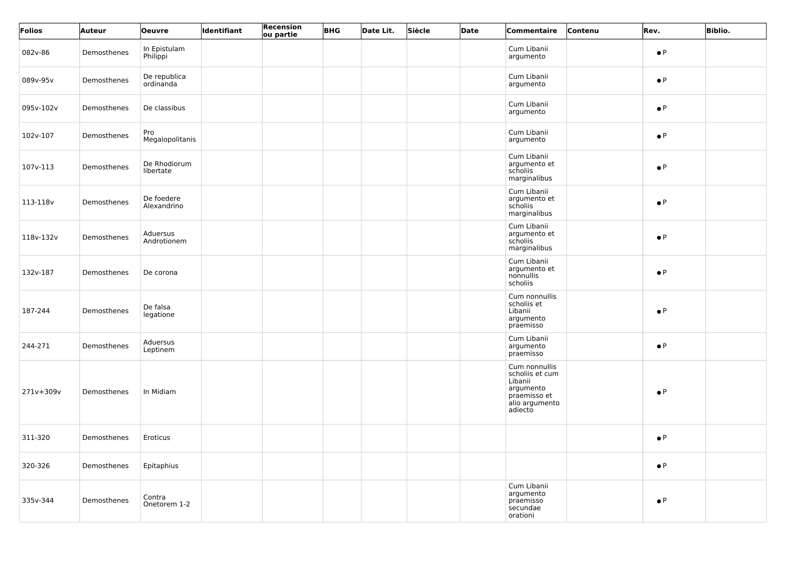| Folios    | Auteur      | Oeuvre                    | ldentifiant | Recension<br>ou partie | <b>BHG</b> | Date Lit. | Siècle | Date | Commentaire                                                                                           | Contenu | Rev.        | <b>Biblio.</b> |
|-----------|-------------|---------------------------|-------------|------------------------|------------|-----------|--------|------|-------------------------------------------------------------------------------------------------------|---------|-------------|----------------|
| 082v-86   | Demosthenes | In Epistulam<br>Philippi  |             |                        |            |           |        |      | Cum Libanii<br>argumento                                                                              |         | $\bullet$ P |                |
| 089v-95v  | Demosthenes | De republica<br>ordinanda |             |                        |            |           |        |      | Cum Libanii<br>argumento                                                                              |         | $\bullet$ P |                |
| 095v-102v | Demosthenes | De classibus              |             |                        |            |           |        |      | Cum Libanii<br>argumento                                                                              |         | $\bullet$ P |                |
| 102v-107  | Demosthenes | Pro<br>Megalopolitanis    |             |                        |            |           |        |      | Cum Libanii<br>argumento                                                                              |         | $\bullet$ P |                |
| 107v-113  | Demosthenes | De Rhodiorum<br>libertate |             |                        |            |           |        |      | Cum Libanii<br>argumento et<br>scholiis<br>marginalibus                                               |         | $\bullet$ P |                |
| 113-118v  | Demosthenes | De foedere<br>Alexandrino |             |                        |            |           |        |      | Cum Libanii<br>argumento et<br>scholiis<br>marginalibus                                               |         | $\bullet$ P |                |
| 118v-132v | Demosthenes | Aduersus<br>Androtionem   |             |                        |            |           |        |      | Cum Libanii<br>argumento et<br>scholiis<br>marginalibus                                               |         | $\bullet$ P |                |
| 132v-187  | Demosthenes | De corona                 |             |                        |            |           |        |      | Cum Libanii<br>argumento et<br>nonnullis<br>scholiis                                                  |         | $\bullet$ P |                |
| 187-244   | Demosthenes | De falsa<br>legatione     |             |                        |            |           |        |      | Cum nonnullis<br>scholiis et<br>Libanii<br>argumento<br>praemisso                                     |         | $\bullet$ P |                |
| 244-271   | Demosthenes | Aduersus<br>Leptinem      |             |                        |            |           |        |      | Cum Libanii<br>argumento<br>praemisso                                                                 |         | $\bullet$ P |                |
| 271v+309v | Demosthenes | In Midiam                 |             |                        |            |           |        |      | Cum nonnullis<br>scholiis et cum<br>Libanii<br>argumento<br>praemisso et<br>alio argumento<br>adiecto |         | $\bullet$ P |                |
| 311-320   | Demosthenes | Eroticus                  |             |                        |            |           |        |      |                                                                                                       |         | $\bullet$ P |                |
| 320-326   | Demosthenes | Epitaphius                |             |                        |            |           |        |      |                                                                                                       |         | $\bullet$ P |                |
| 335v-344  | Demosthenes | Contra<br>Onetorem 1-2    |             |                        |            |           |        |      | Cum Libanii<br>argumento<br>praemisso<br>secundae<br>orationi                                         |         | $\bullet$ P |                |